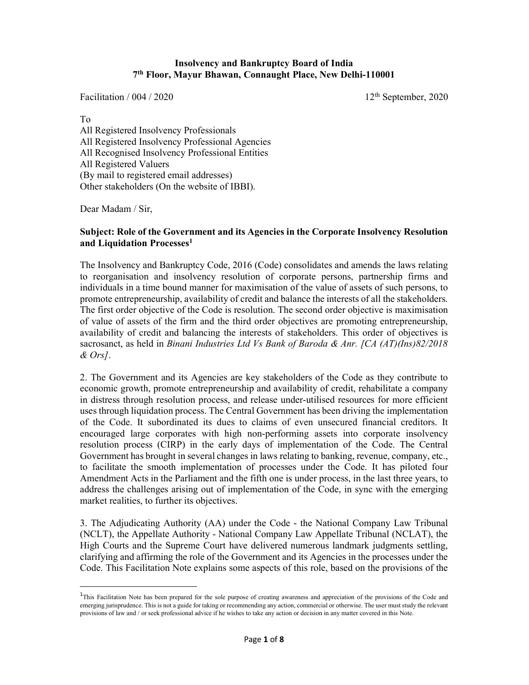#### Insolvency and Bankruptcy Board of India 7 th Floor, Mayur Bhawan, Connaught Place, New Delhi-110001

Facilitation /  $004 / 2020$  12<sup>th</sup> September, 2020

To All Registered Insolvency Professionals All Registered Insolvency Professional Agencies All Recognised Insolvency Professional Entities All Registered Valuers (By mail to registered email addresses) Other stakeholders (On the website of IBBI).

Dear Madam / Sir,

 $\overline{a}$ 

#### Subject: Role of the Government and its Agencies in the Corporate Insolvency Resolution and Liquidation Processes<sup>1</sup>

The Insolvency and Bankruptcy Code, 2016 (Code) consolidates and amends the laws relating to reorganisation and insolvency resolution of corporate persons, partnership firms and individuals in a time bound manner for maximisation of the value of assets of such persons, to promote entrepreneurship, availability of credit and balance the interests of all the stakeholders. The first order objective of the Code is resolution. The second order objective is maximisation of value of assets of the firm and the third order objectives are promoting entrepreneurship, availability of credit and balancing the interests of stakeholders. This order of objectives is sacrosanct, as held in Binani Industries Ltd Vs Bank of Baroda & Anr. [CA (AT)(Ins)82/2018 & Ors].

2. The Government and its Agencies are key stakeholders of the Code as they contribute to economic growth, promote entrepreneurship and availability of credit, rehabilitate a company in distress through resolution process, and release under-utilised resources for more efficient uses through liquidation process. The Central Government has been driving the implementation of the Code. It subordinated its dues to claims of even unsecured financial creditors. It encouraged large corporates with high non-performing assets into corporate insolvency resolution process (CIRP) in the early days of implementation of the Code. The Central Government has brought in several changes in laws relating to banking, revenue, company, etc., to facilitate the smooth implementation of processes under the Code. It has piloted four Amendment Acts in the Parliament and the fifth one is under process, in the last three years, to address the challenges arising out of implementation of the Code, in sync with the emerging market realities, to further its objectives.

3. The Adjudicating Authority (AA) under the Code - the National Company Law Tribunal (NCLT), the Appellate Authority - National Company Law Appellate Tribunal (NCLAT), the High Courts and the Supreme Court have delivered numerous landmark judgments settling, clarifying and affirming the role of the Government and its Agencies in the processes under the Code. This Facilitation Note explains some aspects of this role, based on the provisions of the

<sup>1</sup>This Facilitation Note has been prepared for the sole purpose of creating awareness and appreciation of the provisions of the Code and emerging jurisprudence. This is not a guide for taking or recommending any action, commercial or otherwise. The user must study the relevant provisions of law and / or seek professional advice if he wishes to take any action or decision in any matter covered in this Note.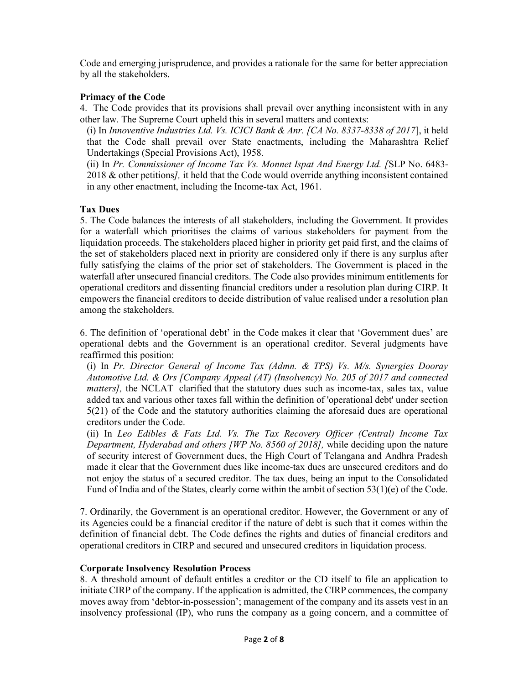Code and emerging jurisprudence, and provides a rationale for the same for better appreciation by all the stakeholders.

# Primacy of the Code

4. The Code provides that its provisions shall prevail over anything inconsistent with in any other law. The Supreme Court upheld this in several matters and contexts:

(i) In Innoventive Industries Ltd. Vs. ICICI Bank  $&$  Anr. [CA No. 8337-8338 of 2017], it held that the Code shall prevail over State enactments, including the Maharashtra Relief Undertakings (Special Provisions Act), 1958.

(ii) In Pr. Commissioner of Income Tax Vs. Monnet Ispat And Energy Ltd. [SLP No. 6483- 2018 & other petitions], it held that the Code would override anything inconsistent contained in any other enactment, including the Income-tax Act, 1961.

# Tax Dues

5. The Code balances the interests of all stakeholders, including the Government. It provides for a waterfall which prioritises the claims of various stakeholders for payment from the liquidation proceeds. The stakeholders placed higher in priority get paid first, and the claims of the set of stakeholders placed next in priority are considered only if there is any surplus after fully satisfying the claims of the prior set of stakeholders. The Government is placed in the waterfall after unsecured financial creditors. The Code also provides minimum entitlements for operational creditors and dissenting financial creditors under a resolution plan during CIRP. It empowers the financial creditors to decide distribution of value realised under a resolution plan among the stakeholders.

6. The definition of 'operational debt' in the Code makes it clear that 'Government dues' are operational debts and the Government is an operational creditor. Several judgments have reaffirmed this position:

(i) In Pr. Director General of Income Tax (Admn. & TPS) Vs. M/s. Synergies Dooray Automotive Ltd. & Ors [Company Appeal (AT) (Insolvency) No. 205 of 2017 and connected matters], the NCLAT clarified that the statutory dues such as income-tax, sales tax, value added tax and various other taxes fall within the definition of 'operational debt' under section 5(21) of the Code and the statutory authorities claiming the aforesaid dues are operational creditors under the Code.

(ii) In Leo Edibles & Fats Ltd. Vs. The Tax Recovery Officer (Central) Income Tax Department, Hyderabad and others [WP No. 8560 of 2018], while deciding upon the nature of security interest of Government dues, the High Court of Telangana and Andhra Pradesh made it clear that the Government dues like income-tax dues are unsecured creditors and do not enjoy the status of a secured creditor. The tax dues, being an input to the Consolidated Fund of India and of the States, clearly come within the ambit of section  $53(1)(e)$  of the Code.

7. Ordinarily, the Government is an operational creditor. However, the Government or any of its Agencies could be a financial creditor if the nature of debt is such that it comes within the definition of financial debt. The Code defines the rights and duties of financial creditors and operational creditors in CIRP and secured and unsecured creditors in liquidation process.

# Corporate Insolvency Resolution Process

8. A threshold amount of default entitles a creditor or the CD itself to file an application to initiate CIRP of the company. If the application is admitted, the CIRP commences, the company moves away from 'debtor-in-possession'; management of the company and its assets vest in an insolvency professional (IP), who runs the company as a going concern, and a committee of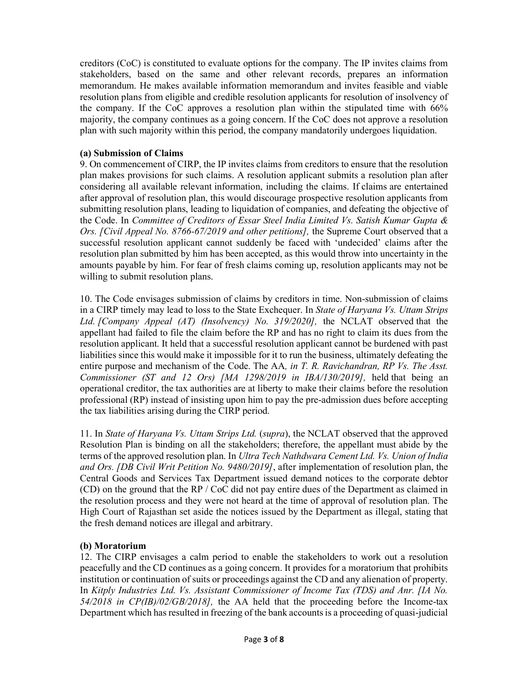creditors (CoC) is constituted to evaluate options for the company. The IP invites claims from stakeholders, based on the same and other relevant records, prepares an information memorandum. He makes available information memorandum and invites feasible and viable resolution plans from eligible and credible resolution applicants for resolution of insolvency of the company. If the CoC approves a resolution plan within the stipulated time with 66% majority, the company continues as a going concern. If the CoC does not approve a resolution plan with such majority within this period, the company mandatorily undergoes liquidation.

# (a) Submission of Claims

9. On commencement of CIRP, the IP invites claims from creditors to ensure that the resolution plan makes provisions for such claims. A resolution applicant submits a resolution plan after considering all available relevant information, including the claims. If claims are entertained after approval of resolution plan, this would discourage prospective resolution applicants from submitting resolution plans, leading to liquidation of companies, and defeating the objective of the Code. In Committee of Creditors of Essar Steel India Limited Vs. Satish Kumar Gupta & Ors. [Civil Appeal No. 8766-67/2019 and other petitions], the Supreme Court observed that a successful resolution applicant cannot suddenly be faced with 'undecided' claims after the resolution plan submitted by him has been accepted, as this would throw into uncertainty in the amounts payable by him. For fear of fresh claims coming up, resolution applicants may not be willing to submit resolution plans.

10. The Code envisages submission of claims by creditors in time. Non-submission of claims in a CIRP timely may lead to loss to the State Exchequer. In State of Haryana Vs. Uttam Strips Ltd. [Company Appeal (AT) (Insolvency) No. 319/2020], the NCLAT observed that the appellant had failed to file the claim before the RP and has no right to claim its dues from the resolution applicant. It held that a successful resolution applicant cannot be burdened with past liabilities since this would make it impossible for it to run the business, ultimately defeating the entire purpose and mechanism of the Code. The AA, in T. R. Ravichandran, RP Vs. The Asst. Commissioner (ST and 12 Ors) [MA 1298/2019 in IBA/130/2019], held that being an operational creditor, the tax authorities are at liberty to make their claims before the resolution professional (RP) instead of insisting upon him to pay the pre-admission dues before accepting the tax liabilities arising during the CIRP period.

11. In State of Haryana Vs. Uttam Strips Ltd. (supra), the NCLAT observed that the approved Resolution Plan is binding on all the stakeholders; therefore, the appellant must abide by the terms of the approved resolution plan. In *Ultra Tech Nathdwara Cement Ltd. Vs. Union of India* and Ors. [DB Civil Writ Petition No. 9480/2019], after implementation of resolution plan, the Central Goods and Services Tax Department issued demand notices to the corporate debtor (CD) on the ground that the RP / CoC did not pay entire dues of the Department as claimed in the resolution process and they were not heard at the time of approval of resolution plan. The High Court of Rajasthan set aside the notices issued by the Department as illegal, stating that the fresh demand notices are illegal and arbitrary.

#### (b) Moratorium

12. The CIRP envisages a calm period to enable the stakeholders to work out a resolution peacefully and the CD continues as a going concern. It provides for a moratorium that prohibits institution or continuation of suits or proceedings against the CD and any alienation of property. In Kitply Industries Ltd. Vs. Assistant Commissioner of Income Tax (TDS) and Anr. [IA No. 54/2018 in CP(IB)/02/GB/2018], the AA held that the proceeding before the Income-tax Department which has resulted in freezing of the bank accounts is a proceeding of quasi-judicial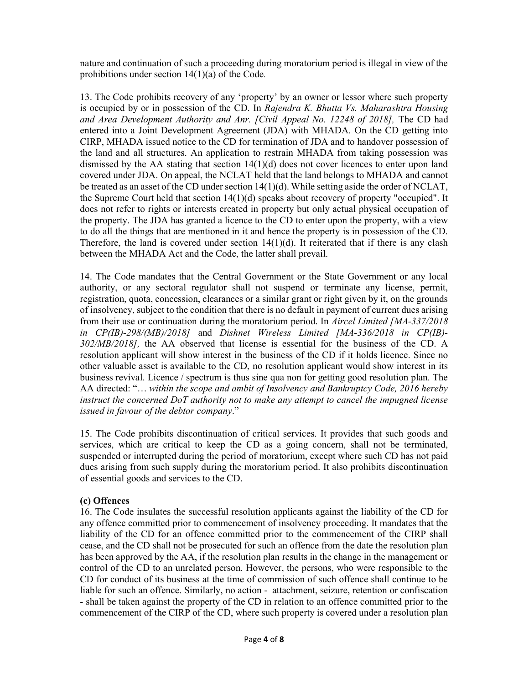nature and continuation of such a proceeding during moratorium period is illegal in view of the prohibitions under section 14(1)(a) of the Code.

13. The Code prohibits recovery of any 'property' by an owner or lessor where such property is occupied by or in possession of the CD. In Rajendra K. Bhutta Vs. Maharashtra Housing and Area Development Authority and Anr. [Civil Appeal No. 12248 of 2018], The CD had entered into a Joint Development Agreement (JDA) with MHADA. On the CD getting into CIRP, MHADA issued notice to the CD for termination of JDA and to handover possession of the land and all structures. An application to restrain MHADA from taking possession was dismissed by the AA stating that section 14(1)(d) does not cover licences to enter upon land covered under JDA. On appeal, the NCLAT held that the land belongs to MHADA and cannot be treated as an asset of the CD under section 14(1)(d). While setting aside the order of NCLAT, the Supreme Court held that section 14(1)(d) speaks about recovery of property "occupied". It does not refer to rights or interests created in property but only actual physical occupation of the property. The JDA has granted a licence to the CD to enter upon the property, with a view to do all the things that are mentioned in it and hence the property is in possession of the CD. Therefore, the land is covered under section  $14(1)(d)$ . It reiterated that if there is any clash between the MHADA Act and the Code, the latter shall prevail.

14. The Code mandates that the Central Government or the State Government or any local authority, or any sectoral regulator shall not suspend or terminate any license, permit, registration, quota, concession, clearances or a similar grant or right given by it, on the grounds of insolvency, subject to the condition that there is no default in payment of current dues arising from their use or continuation during the moratorium period. In Aircel Limited [MA-337/2018 in CP(IB)-298/(MB)/2018] and Dishnet Wireless Limited [MA-336/2018 in CP(IB)- 302/MB/2018], the AA observed that license is essential for the business of the CD. A resolution applicant will show interest in the business of the CD if it holds licence. Since no other valuable asset is available to the CD, no resolution applicant would show interest in its business revival. Licence / spectrum is thus sine qua non for getting good resolution plan. The AA directed: "... within the scope and ambit of Insolvency and Bankruptcy Code, 2016 hereby instruct the concerned DoT authority not to make any attempt to cancel the impugned license issued in favour of the debtor company."

15. The Code prohibits discontinuation of critical services. It provides that such goods and services, which are critical to keep the CD as a going concern, shall not be terminated, suspended or interrupted during the period of moratorium, except where such CD has not paid dues arising from such supply during the moratorium period. It also prohibits discontinuation of essential goods and services to the CD.

# (c) Offences

16. The Code insulates the successful resolution applicants against the liability of the CD for any offence committed prior to commencement of insolvency proceeding. It mandates that the liability of the CD for an offence committed prior to the commencement of the CIRP shall cease, and the CD shall not be prosecuted for such an offence from the date the resolution plan has been approved by the AA, if the resolution plan results in the change in the management or control of the CD to an unrelated person. However, the persons, who were responsible to the CD for conduct of its business at the time of commission of such offence shall continue to be liable for such an offence. Similarly, no action - attachment, seizure, retention or confiscation - shall be taken against the property of the CD in relation to an offence committed prior to the commencement of the CIRP of the CD, where such property is covered under a resolution plan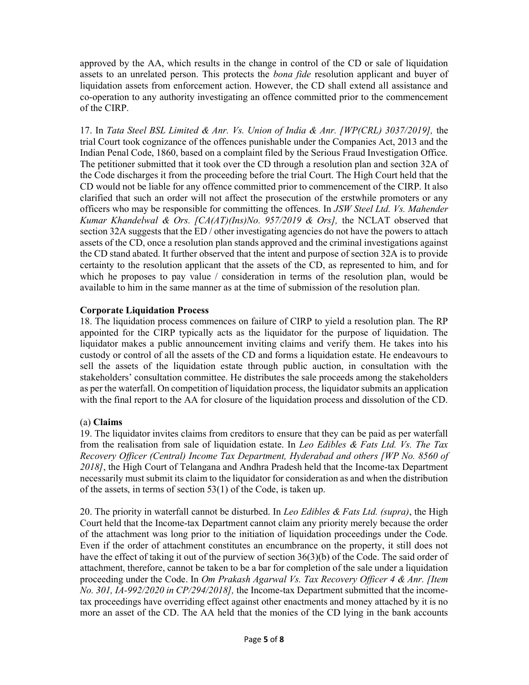approved by the AA, which results in the change in control of the CD or sale of liquidation assets to an unrelated person. This protects the *bona fide* resolution applicant and buyer of liquidation assets from enforcement action. However, the CD shall extend all assistance and co-operation to any authority investigating an offence committed prior to the commencement of the CIRP.

17. In Tata Steel BSL Limited & Anr. Vs. Union of India & Anr. [WP(CRL) 3037/2019], the trial Court took cognizance of the offences punishable under the Companies Act, 2013 and the Indian Penal Code, 1860, based on a complaint filed by the Serious Fraud Investigation Office. The petitioner submitted that it took over the CD through a resolution plan and section 32A of the Code discharges it from the proceeding before the trial Court. The High Court held that the CD would not be liable for any offence committed prior to commencement of the CIRP. It also clarified that such an order will not affect the prosecution of the erstwhile promoters or any officers who may be responsible for committing the offences. In JSW Steel Ltd. Vs. Mahender Kumar Khandelwal & Ors.  $[CA(AT)(Ins)No. 957/2019 \& Ors]$ , the NCLAT observed that section 32A suggests that the ED / other investigating agencies do not have the powers to attach assets of the CD, once a resolution plan stands approved and the criminal investigations against the CD stand abated. It further observed that the intent and purpose of section 32A is to provide certainty to the resolution applicant that the assets of the CD, as represented to him, and for which he proposes to pay value / consideration in terms of the resolution plan, would be available to him in the same manner as at the time of submission of the resolution plan.

# Corporate Liquidation Process

18. The liquidation process commences on failure of CIRP to yield a resolution plan. The RP appointed for the CIRP typically acts as the liquidator for the purpose of liquidation. The liquidator makes a public announcement inviting claims and verify them. He takes into his custody or control of all the assets of the CD and forms a liquidation estate. He endeavours to sell the assets of the liquidation estate through public auction, in consultation with the stakeholders' consultation committee. He distributes the sale proceeds among the stakeholders as per the waterfall. On competition of liquidation process, the liquidator submits an application with the final report to the AA for closure of the liquidation process and dissolution of the CD.

# (a) Claims

19. The liquidator invites claims from creditors to ensure that they can be paid as per waterfall from the realisation from sale of liquidation estate. In Leo Edibles & Fats Ltd. Vs. The Tax Recovery Officer (Central) Income Tax Department, Hyderabad and others [WP No. 8560 of 2018], the High Court of Telangana and Andhra Pradesh held that the Income-tax Department necessarily must submit its claim to the liquidator for consideration as and when the distribution of the assets, in terms of section 53(1) of the Code, is taken up.

20. The priority in waterfall cannot be disturbed. In Leo Edibles  $\&$  Fats Ltd. (supra), the High Court held that the Income-tax Department cannot claim any priority merely because the order of the attachment was long prior to the initiation of liquidation proceedings under the Code. Even if the order of attachment constitutes an encumbrance on the property, it still does not have the effect of taking it out of the purview of section 36(3)(b) of the Code. The said order of attachment, therefore, cannot be taken to be a bar for completion of the sale under a liquidation proceeding under the Code. In Om Prakash Agarwal Vs. Tax Recovery Officer 4 & Anr. [Item No. 301, IA-992/2020 in CP/294/2018], the Income-tax Department submitted that the incometax proceedings have overriding effect against other enactments and money attached by it is no more an asset of the CD. The AA held that the monies of the CD lying in the bank accounts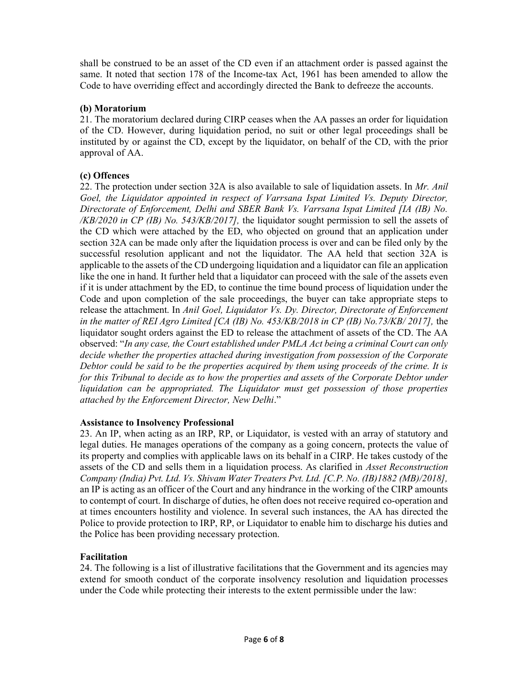shall be construed to be an asset of the CD even if an attachment order is passed against the same. It noted that section 178 of the Income-tax Act, 1961 has been amended to allow the Code to have overriding effect and accordingly directed the Bank to defreeze the accounts.

# (b) Moratorium

21. The moratorium declared during CIRP ceases when the AA passes an order for liquidation of the CD. However, during liquidation period, no suit or other legal proceedings shall be instituted by or against the CD, except by the liquidator, on behalf of the CD, with the prior approval of AA.

# (c) Offences

22. The protection under section  $32A$  is also available to sale of liquidation assets. In Mr. Anil Goel, the Liquidator appointed in respect of Varrsana Ispat Limited Vs. Deputy Director, Directorate of Enforcement, Delhi and SBER Bank Vs. Varrsana Ispat Limited [IA (IB) No. /KB/2020 in CP (IB) No. 543/KB/2017], the liquidator sought permission to sell the assets of the CD which were attached by the ED, who objected on ground that an application under section 32A can be made only after the liquidation process is over and can be filed only by the successful resolution applicant and not the liquidator. The AA held that section 32A is applicable to the assets of the CD undergoing liquidation and a liquidator can file an application like the one in hand. It further held that a liquidator can proceed with the sale of the assets even if it is under attachment by the ED, to continue the time bound process of liquidation under the Code and upon completion of the sale proceedings, the buyer can take appropriate steps to release the attachment. In Anil Goel, Liquidator Vs. Dy. Director, Directorate of Enforcement in the matter of REI Agro Limited [CA (IB) No. 453/KB/2018 in CP (IB) No.73/KB/2017], the liquidator sought orders against the ED to release the attachment of assets of the CD. The AA observed: "In any case, the Court established under PMLA Act being a criminal Court can only decide whether the properties attached during investigation from possession of the Corporate Debtor could be said to be the properties acquired by them using proceeds of the crime. It is for this Tribunal to decide as to how the properties and assets of the Corporate Debtor under liquidation can be appropriated. The Liquidator must get possession of those properties attached by the Enforcement Director, New Delhi."

# Assistance to Insolvency Professional

23. An IP, when acting as an IRP, RP, or Liquidator, is vested with an array of statutory and legal duties. He manages operations of the company as a going concern, protects the value of its property and complies with applicable laws on its behalf in a CIRP. He takes custody of the assets of the CD and sells them in a liquidation process. As clarified in Asset Reconstruction Company (India) Pvt. Ltd. Vs. Shivam Water Treaters Pvt. Ltd. [C.P. No. (IB)1882 (MB)/2018], an IP is acting as an officer of the Court and any hindrance in the working of the CIRP amounts to contempt of court. In discharge of duties, he often does not receive required co-operation and at times encounters hostility and violence. In several such instances, the AA has directed the Police to provide protection to IRP, RP, or Liquidator to enable him to discharge his duties and the Police has been providing necessary protection.

# Facilitation

24. The following is a list of illustrative facilitations that the Government and its agencies may extend for smooth conduct of the corporate insolvency resolution and liquidation processes under the Code while protecting their interests to the extent permissible under the law: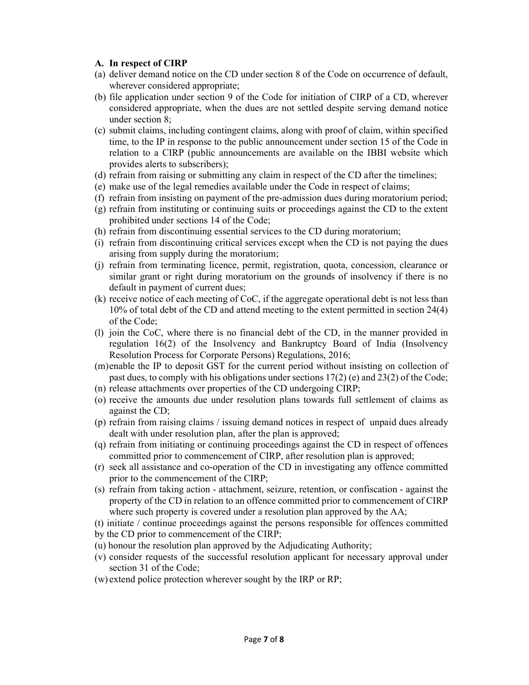#### A. In respect of CIRP

- (a) deliver demand notice on the CD under section 8 of the Code on occurrence of default, wherever considered appropriate;
- (b) file application under section 9 of the Code for initiation of CIRP of a CD, wherever considered appropriate, when the dues are not settled despite serving demand notice under section 8;
- (c) submit claims, including contingent claims, along with proof of claim, within specified time, to the IP in response to the public announcement under section 15 of the Code in relation to a CIRP (public announcements are available on the IBBI website which provides alerts to subscribers);
- (d) refrain from raising or submitting any claim in respect of the CD after the timelines;
- (e) make use of the legal remedies available under the Code in respect of claims;
- (f) refrain from insisting on payment of the pre-admission dues during moratorium period;
- (g) refrain from instituting or continuing suits or proceedings against the CD to the extent prohibited under sections 14 of the Code;
- (h) refrain from discontinuing essential services to the CD during moratorium;
- (i) refrain from discontinuing critical services except when the CD is not paying the dues arising from supply during the moratorium;
- (j) refrain from terminating licence, permit, registration, quota, concession, clearance or similar grant or right during moratorium on the grounds of insolvency if there is no default in payment of current dues;
- (k) receive notice of each meeting of CoC, if the aggregate operational debt is not less than 10% of total debt of the CD and attend meeting to the extent permitted in section 24(4) of the Code;
- (l) join the CoC, where there is no financial debt of the CD, in the manner provided in regulation 16(2) of the Insolvency and Bankruptcy Board of India (Insolvency Resolution Process for Corporate Persons) Regulations, 2016;
- (m)enable the IP to deposit GST for the current period without insisting on collection of past dues, to comply with his obligations under sections  $17(2)$  (e) and  $23(2)$  of the Code;
- (n) release attachments over properties of the CD undergoing CIRP;
- (o) receive the amounts due under resolution plans towards full settlement of claims as against the CD;
- (p) refrain from raising claims / issuing demand notices in respect of unpaid dues already dealt with under resolution plan, after the plan is approved;
- (q) refrain from initiating or continuing proceedings against the CD in respect of offences committed prior to commencement of CIRP, after resolution plan is approved;
- (r) seek all assistance and co-operation of the CD in investigating any offence committed prior to the commencement of the CIRP;
- (s) refrain from taking action attachment, seizure, retention, or confiscation against the property of the CD in relation to an offence committed prior to commencement of CIRP where such property is covered under a resolution plan approved by the AA;
- (t) initiate / continue proceedings against the persons responsible for offences committed
- by the CD prior to commencement of the CIRP;
- (u) honour the resolution plan approved by the Adjudicating Authority;
- (v) consider requests of the successful resolution applicant for necessary approval under section 31 of the Code;
- (w) extend police protection wherever sought by the IRP or RP;